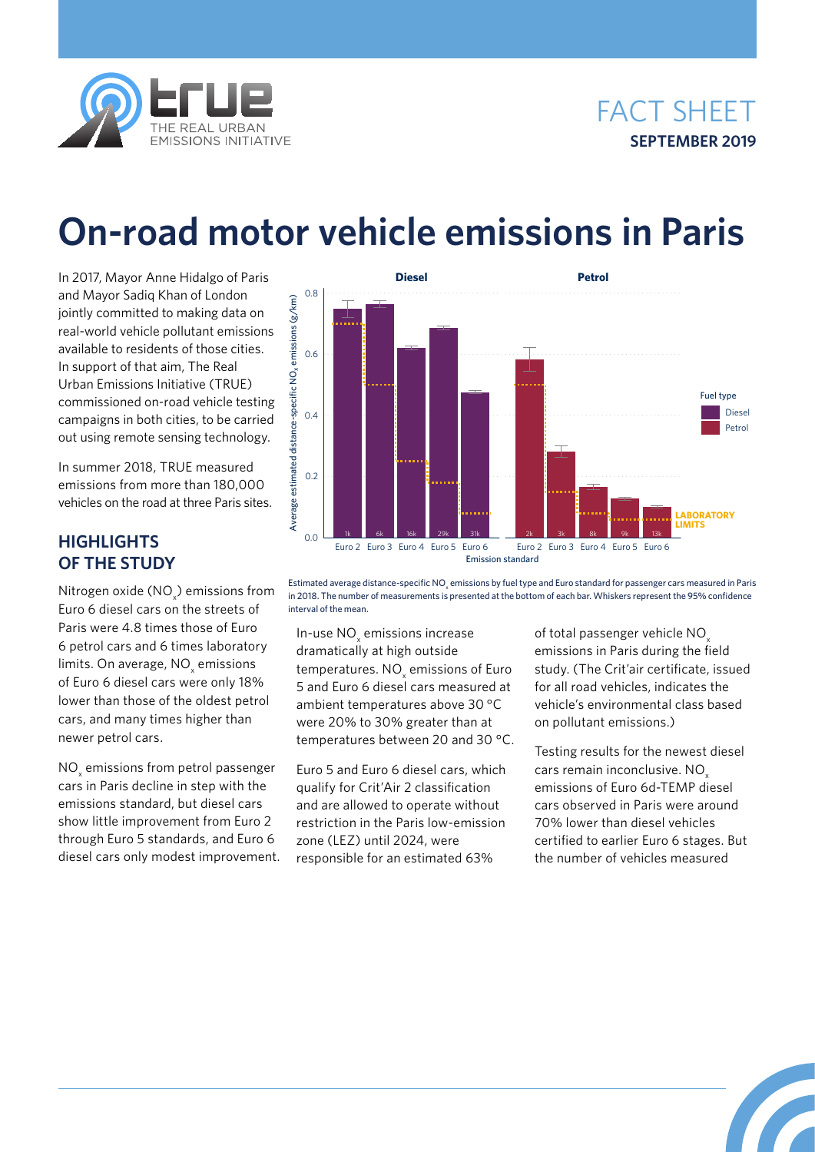

## FACT SHEET **SEPTEMBER 2019**

# **On-road motor vehicle emissions in Paris**

In 2017, Mayor Anne Hidalgo of Paris and Mayor Sadiq Khan of London jointly committed to making data on real-world vehicle pollutant emissions available to residents of those cities. In support of that aim, The Real Urban Emissions Initiative (TRUE) commissioned on-road vehicle testing campaigns in both cities, to be carried out using remote sensing technology.

In summer 2018, TRUE measured emissions from more than 180,000 vehicles on the road at three Paris sites.

## **HIGHLIGHTS OF THE STUDY**

Nitrogen oxide (NO $_{\mathrm{x}}$ ) emissions from Euro 6 diesel cars on the streets of Paris were 4.8 times those of Euro 6 petrol cars and 6 times laboratory limits. On average,  $\mathtt{NO}_{\mathsf{x}}$  emissions of Euro 6 diesel cars were only 18% lower than those of the oldest petrol cars, and many times higher than newer petrol cars.

 $\rm NO_{\rm x}$  emissions from petrol passenger cars in Paris decline in step with the emissions standard, but diesel cars show little improvement from Euro 2 through Euro 5 standards, and Euro 6 diesel cars only modest improvement.



Estimated average distance-specific NO $_{\rm x}$  emissions by fuel type and Euro standard for passenger cars measured in Paris in 2018. The number of measurements is presented at the bottom of each bar. Whiskers represent the 95% confidence interval of the mean.

In-use  $\mathrm{NO}_{\mathrm{x}}$  emissions increase dramatically at high outside temperatures. NO $_{\mathrm{\mathsf{x}}}$  emissions of Euro 5 and Euro 6 diesel cars measured at ambient temperatures above 30 °C were 20% to 30% greater than at temperatures between 20 and 30 °C.

Euro 5 and Euro 6 diesel cars, which qualify for Crit'Air 2 classification and are allowed to operate without restriction in the Paris low-emission zone (LEZ) until 2024, were responsible for an estimated 63%

of total passenger vehicle NO<sub>y</sub> emissions in Paris during the field study. (The Crit'air certificate, issued for all road vehicles, indicates the vehicle's environmental class based on pollutant emissions.)

Testing results for the newest diesel cars remain inconclusive. NO<sub>x</sub> emissions of Euro 6d-TEMP diesel cars observed in Paris were around 70% lower than diesel vehicles certified to earlier Euro 6 stages. But the number of vehicles measured